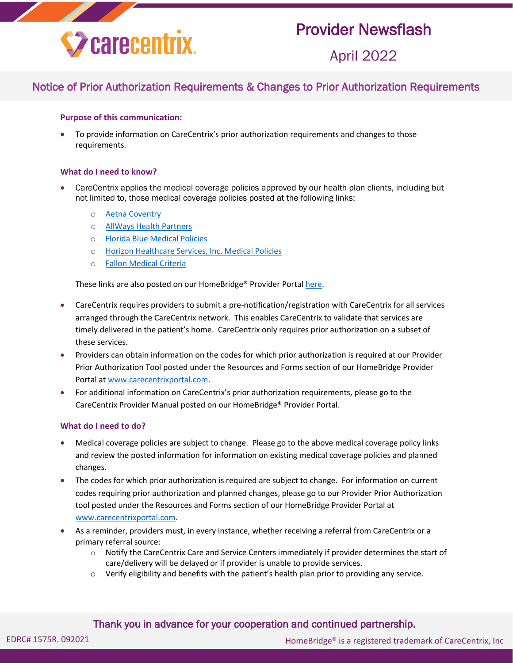

## Provider Newsflash

April 2022

### Notice of Prior Authorization Requirements & Changes to Prior Authorization Requirements

#### **Purpose of this communication:**

 To provide information on CareCentrix's prior authorization requirements and changes to those requirements.

#### **What do I need to know?**

- CareCentrix applies the medical coverage policies approved by our health plan clients, including but not limited to, those medical coverage policies posted at the following links:
	- o Aetna [Coventry](https://www.aetna.com/health-care-professionals/clinical-policy-bulletins.html)
	- o [AllWays Health Partners](http://help.carecentrix.com/ProviderResources/AllWays_Medical_Criteria.pdf)
	- o [Florida Blue Medical Policies](https://www.floridablue.com/providers/tools-resources/medical-policies-medical-coverage-guidelines)
	- o [Horizon Healthcare Services, Inc. Medical Policies](https://www.horizonblue.com/providers/policies-procedures/policies)
	- o [Fallon Medical Criteria](http://help.carecentrix.com/ProviderResources/FCHP_Medical_Criteria.pdf)

These links are also posted on our HomeBridge® Provider Porta[l here.](https://www.carecentrixportal.com/ProviderPortal/homePage.do?command=cignaMedicalCoveragePolicies)

- CareCentrix requires providers to submit a pre-notification/registration with CareCentrix for all services arranged through the CareCentrix network. This enables CareCentrix to validate that services are timely delivered in the patient's home. CareCentrix only requires prior authorization on a subset of these services.
- Providers can obtain information on the codes for which prior authorization is required at our Provider Prior Authorization Tool posted under the Resources and Forms section of our HomeBridge Provider Portal at [www.carecentrixportal.com.](http://www.carecentrixportal.com/)
- For additional information on CareCentrix's prior authorization requirements, please go to the CareCentrix Provider Manual posted on our HomeBridge® Provider Portal.

#### **What do I need to do?**

- Medical coverage policies are subject to change. Please go to the above medical coverage policy links and review the posted information for information on existing medical coverage policies and planned changes.
- The codes for which prior authorization is required are subject to change. For information on current codes requiring prior authorization and planned changes, please go to our Provider Prior Authorization tool posted under the Resources and Forms section of our HomeBridge Provider Portal at [www.carecentrixportal.com.](http://www.carecentrixportal.com/)
- As a reminder, providers must, in every instance, whether receiving a referral from CareCentrix or a primary referral source:
	- $\circ$  Notify the CareCentrix Care and Service Centers immediately if provider determines the start of care/delivery will be delayed or if provider is unable to provide services.
	- o Verify eligibility and benefits with the patient's health plan prior to providing any service.

#### Thank you in advance for your cooperation and continued partnership.